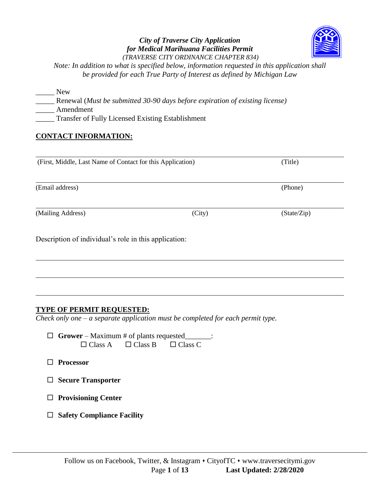#### *City of Traverse City Application for Medical Marihuana Facilities Permit (TRAVERSE CITY ORDINANCE CHAPTER 834)*

*Note: In addition to what is specified below, information requested in this application shall be provided for each True Party of Interest as defined by Michigan Law*

*\_\_\_\_\_* New

\_\_\_\_\_ Renewal (*Must be submitted 30-90 days before expiration of existing license) \_\_\_\_\_* Amendment \_\_\_\_\_ Transfer of Fully Licensed Existing Establishment

# **CONTACT INFORMATION:**

(Email address) (Phone) (Mailing Address) (City) (State/Zip) Description of individual's role in this application:

# **TYPE OF PERMIT REQUESTED:**

*Check only one – a separate application must be completed for each permit type.*

 $\Box$  **Grower** – Maximum # of plants requested :  $\Box$  Class A  $\Box$  Class B  $\Box$  Class C

**Processor**

**Secure Transporter**

**Provisioning Center**

**Safety Compliance Facility**



(First, Middle, Last Name of Contact for this Application) (Title)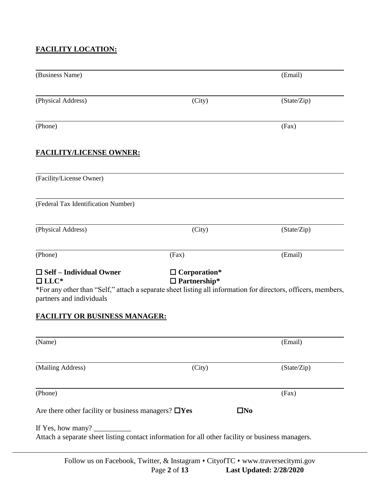# **FACILITY LOCATION:**

| (Business Name)                                                                                                                                                                                                                                                                                                                                                                                                                                                                                                           |                                            | (Email)     |
|---------------------------------------------------------------------------------------------------------------------------------------------------------------------------------------------------------------------------------------------------------------------------------------------------------------------------------------------------------------------------------------------------------------------------------------------------------------------------------------------------------------------------|--------------------------------------------|-------------|
| (Physical Address)                                                                                                                                                                                                                                                                                                                                                                                                                                                                                                        | (City)                                     | (State/Zip) |
| (Phone)                                                                                                                                                                                                                                                                                                                                                                                                                                                                                                                   |                                            | (Fax)       |
| <b>FACILITY/LICENSE OWNER:</b>                                                                                                                                                                                                                                                                                                                                                                                                                                                                                            |                                            |             |
| (Facility/License Owner)                                                                                                                                                                                                                                                                                                                                                                                                                                                                                                  |                                            |             |
| (Federal Tax Identification Number)                                                                                                                                                                                                                                                                                                                                                                                                                                                                                       |                                            |             |
| (Physical Address)                                                                                                                                                                                                                                                                                                                                                                                                                                                                                                        | (City)                                     | (State/Zip) |
| (Phone)                                                                                                                                                                                                                                                                                                                                                                                                                                                                                                                   | (Fax)                                      | (Email)     |
| $\Box$ Self – Individual Owner<br>$\Box$ LLC*<br>*For any other than "Self," attach a separate sheet listing all information for directors, officers, members,<br>partners and individuals                                                                                                                                                                                                                                                                                                                                | $\Box$ Corporation*<br>$\Box$ Partnership* |             |
| <b>FACILITY OR BUSINESS MANAGER:</b>                                                                                                                                                                                                                                                                                                                                                                                                                                                                                      |                                            |             |
| (Name)                                                                                                                                                                                                                                                                                                                                                                                                                                                                                                                    |                                            | (Email)     |
| (Mailing Address)                                                                                                                                                                                                                                                                                                                                                                                                                                                                                                         | (City)                                     | (State/Zip) |
| (Phone)                                                                                                                                                                                                                                                                                                                                                                                                                                                                                                                   |                                            | (Fax)       |
| Are there other facility or business managers? $\Box$ Yes                                                                                                                                                                                                                                                                                                                                                                                                                                                                 | $\square$ No                               |             |
| If Yes, how many? $\frac{1}{\sqrt{1 - \frac{1}{\sqrt{1 - \frac{1}{\sqrt{1 - \frac{1}{\sqrt{1 - \frac{1}{\sqrt{1 - \frac{1}{\sqrt{1 - \frac{1}{\sqrt{1 - \frac{1}{\sqrt{1 - \frac{1}{\sqrt{1 - \frac{1}{\sqrt{1 - \frac{1}{\sqrt{1 - \frac{1}{\sqrt{1 - \frac{1}{\sqrt{1 - \frac{1}{\sqrt{1 - \frac{1}{\sqrt{1 - \frac{1}{\sqrt{1 - \frac{1}{\sqrt{1 - \frac{1}{\sqrt{1 - \frac{1}{\sqrt{1 - \frac{1}{\sqrt{1 - \frac$<br>Attach a separate sheet listing contact information for all other facility or business managers. |                                            |             |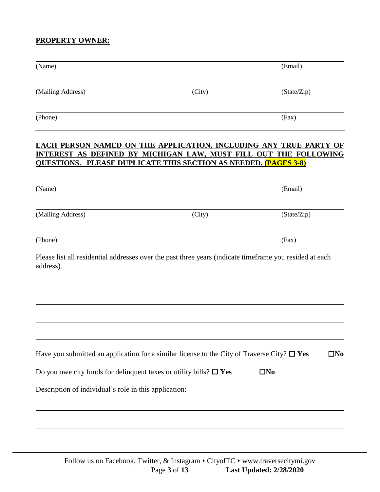## **PROPERTY OWNER:**

| (Name)                                                                     |                                                                                                                                                                                                                        | (Email)                      |
|----------------------------------------------------------------------------|------------------------------------------------------------------------------------------------------------------------------------------------------------------------------------------------------------------------|------------------------------|
| (Mailing Address)                                                          | (City)                                                                                                                                                                                                                 | (State/Zip)                  |
| (Phone)                                                                    |                                                                                                                                                                                                                        | (Fax)                        |
|                                                                            | <b>EACH PERSON NAMED ON THE APPLICATION, INCLUDING ANY TRUE PARTY OF</b><br>INTEREST AS DEFINED BY MICHIGAN LAW, MUST FILL OUT THE FOLLOWING<br><u>QUESTIONS. PLEASE DUPLICATE THIS SECTION AS NEEDED. (PAGES 3-8)</u> |                              |
| (Name)                                                                     |                                                                                                                                                                                                                        | (Email)                      |
| (Mailing Address)                                                          | (City)                                                                                                                                                                                                                 | (State/Zip)                  |
| (Phone)<br>address).                                                       | Please list all residential addresses over the past three years (indicate timeframe you resided at each                                                                                                                | (Fax)                        |
| Do you owe city funds for delinquent taxes or utility bills? $\square$ Yes | Have you submitted an application for a similar license to the City of Traverse City? $\Box$ Yes                                                                                                                       | $\square$ No<br>$\square$ No |
| Description of individual's role in this application:                      |                                                                                                                                                                                                                        |                              |
|                                                                            |                                                                                                                                                                                                                        |                              |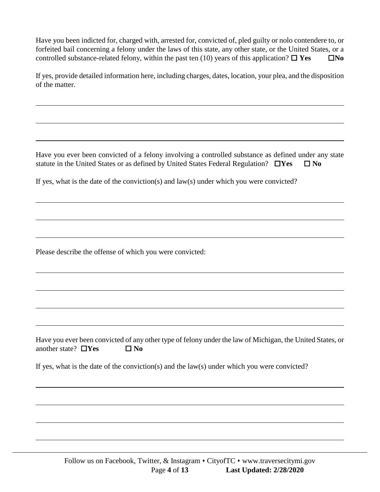Have you been indicted for, charged with, arrested for, convicted of, pled guilty or nolo contendere to, or forfeited bail concerning a felony under the laws of this state, any other state, or the United States, or a controlled substance-related felony, within the past ten (10) years of this application?  $\Box$  Yes  $\Box$  No

If yes, provide detailed information here, including charges, dates, location, your plea, and the disposition of the matter.

Have you ever been convicted of a felony involving a controlled substance as defined under any state statute in the United States or as defined by United States Federal Regulation?  $\Box$ Yes  $\Box$  No

If yes, what is the date of the conviction(s) and law(s) under which you were convicted?

Please describe the offense of which you were convicted:

Have you ever been convicted of any other type of felony under the law of Michigan, the United States, or another state?  $\Box$ **Yes**  $\Box$ **No** 

If yes, what is the date of the conviction(s) and the law(s) under which you were convicted?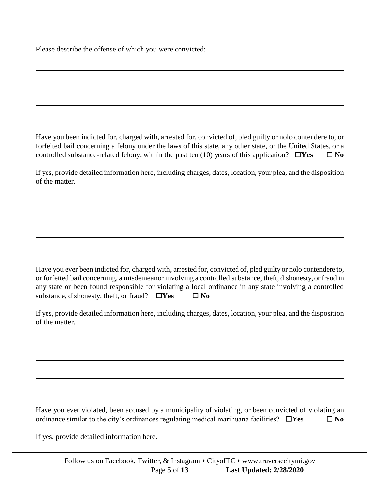Please describe the offense of which you were convicted:

Have you been indicted for, charged with, arrested for, convicted of, pled guilty or nolo contendere to, or forfeited bail concerning a felony under the laws of this state, any other state, or the United States, or a controlled substance-related felony, within the past ten (10) years of this application?  $\Box$  Yes  $\Box$  No

If yes, provide detailed information here, including charges, dates, location, your plea, and the disposition of the matter.

Have you ever been indicted for, charged with, arrested for, convicted of, pled guilty or nolo contendere to, or forfeited bail concerning, a misdemeanor involving a controlled substance, theft, dishonesty, or fraud in any state or been found responsible for violating a local ordinance in any state involving a controlled substance, dishonesty, theft, or fraud?  $\Box$  Yes  $\Box$  No

If yes, provide detailed information here, including charges, dates, location, your plea, and the disposition of the matter.

Have you ever violated, been accused by a municipality of violating, or been convicted of violating an ordinance similar to the city's ordinances regulating medical marihuana facilities?  $\Box$ Yes  $\Box$  No

If yes, provide detailed information here.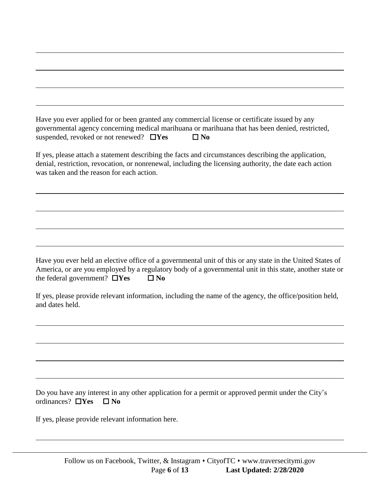| Have you ever applied for or been granted any commercial license or certificate issued by any<br>governmental agency concerning medical marihuana or marihuana that has been denied, restricted,<br>suspended, revoked or not renewed? $\Box$ Yes<br>$\square$ No           |
|-----------------------------------------------------------------------------------------------------------------------------------------------------------------------------------------------------------------------------------------------------------------------------|
| If yes, please attach a statement describing the facts and circumstances describing the application,<br>denial, restriction, revocation, or nonrenewal, including the licensing authority, the date each action<br>was taken and the reason for each action.                |
|                                                                                                                                                                                                                                                                             |
|                                                                                                                                                                                                                                                                             |
|                                                                                                                                                                                                                                                                             |
| Have you ever held an elective office of a governmental unit of this or any state in the United States of<br>America, or are you employed by a regulatory body of a governmental unit in this state, another state or<br>the federal government? $\Box$ Yes<br>$\square$ No |
| If yes, please provide relevant information, including the name of the agency, the office/position held,<br>and dates held.                                                                                                                                                 |
|                                                                                                                                                                                                                                                                             |
|                                                                                                                                                                                                                                                                             |
|                                                                                                                                                                                                                                                                             |
| Do you have any interest in any other application for a permit or approved permit under the City's<br>ordinances? $\Box$ Yes<br>$\Box$ No                                                                                                                                   |
| If yes, please provide relevant information here.                                                                                                                                                                                                                           |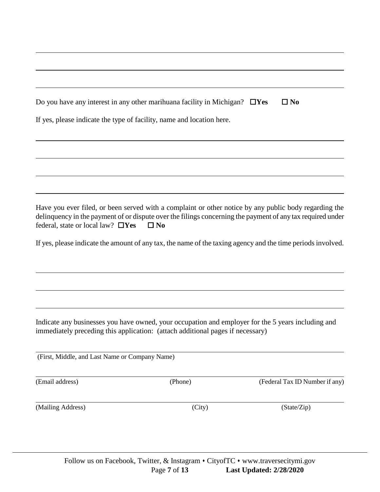|                                                | Do you have any interest in any other marihuana facility in Michigan? $\Box$ Yes | $\square$ No                                                                                                                                                                                                        |
|------------------------------------------------|----------------------------------------------------------------------------------|---------------------------------------------------------------------------------------------------------------------------------------------------------------------------------------------------------------------|
|                                                | If yes, please indicate the type of facility, name and location here.            |                                                                                                                                                                                                                     |
|                                                |                                                                                  |                                                                                                                                                                                                                     |
|                                                |                                                                                  |                                                                                                                                                                                                                     |
| federal, state or local law? $\Box$ Yes        | $\square$ No                                                                     | Have you ever filed, or been served with a complaint or other notice by any public body regarding the<br>delinquency in the payment of or dispute over the filings concerning the payment of any tax required under |
|                                                |                                                                                  | If yes, please indicate the amount of any tax, the name of the taxing agency and the time periods involved.                                                                                                         |
|                                                |                                                                                  |                                                                                                                                                                                                                     |
|                                                | immediately preceding this application: (attach additional pages if necessary)   | Indicate any businesses you have owned, your occupation and employer for the 5 years including and                                                                                                                  |
| (First, Middle, and Last Name or Company Name) |                                                                                  |                                                                                                                                                                                                                     |
| (Email address)                                | (Phone)                                                                          | (Federal Tax ID Number if any)                                                                                                                                                                                      |
| (Mailing Address)                              | (City)                                                                           | (State/Zip)                                                                                                                                                                                                         |
|                                                |                                                                                  |                                                                                                                                                                                                                     |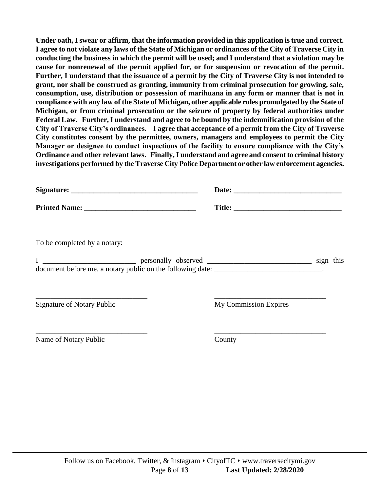**Under oath, I swear or affirm, that the information provided in this application is true and correct. I agree to not violate any laws of the State of Michigan or ordinances of the City of Traverse City in conducting the business in which the permit will be used; and I understand that a violation may be cause for nonrenewal of the permit applied for, or for suspension or revocation of the permit. Further, I understand that the issuance of a permit by the City of Traverse City is not intended to grant, nor shall be construed as granting, immunity from criminal prosecution for growing, sale, consumption, use, distribution or possession of marihuana in any form or manner that is not in compliance with any law of the State of Michigan, other applicable rules promulgated by the State of Michigan, or from criminal prosecution or the seizure of property by federal authorities under Federal Law. Further, I understand and agree to be bound by the indemnification provision of the City of Traverse City's ordinances. I agree that acceptance of a permit from the City of Traverse City constitutes consent by the permittee, owners, managers and employees to permit the City Manager or designee to conduct inspections of the facility to ensure compliance with the City's Ordinance and other relevant laws. Finally, I understand and agree and consent to criminal history investigations performed by the Traverse City Police Department or other law enforcement agencies.** 

|                                                                                          | Date:                        |  |
|------------------------------------------------------------------------------------------|------------------------------|--|
|                                                                                          |                              |  |
| To be completed by a notary:                                                             |                              |  |
| document before me, a notary public on the following date: ____________________________. |                              |  |
| <b>Signature of Notary Public</b>                                                        | <b>My Commission Expires</b> |  |
| Name of Notary Public                                                                    | County                       |  |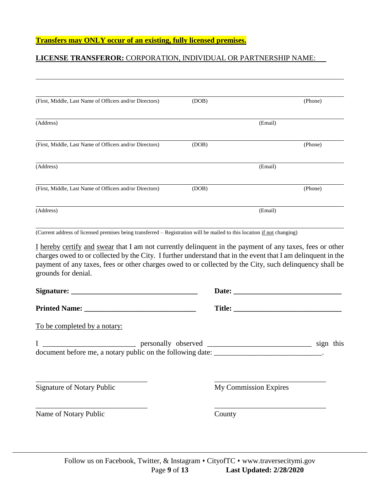#### **LICENSE TRANSFEROR:** CORPORATION, INDIVIDUAL OR PARTNERSHIP NAME:

| (First, Middle, Last Name of Officers and/or Directors) | (DOB) |         | (Phone) |
|---------------------------------------------------------|-------|---------|---------|
| (Address)                                               |       | (Email) |         |
| (First, Middle, Last Name of Officers and/or Directors) | (DOB) |         | (Phone) |
| (Address)                                               |       | (Email) |         |
| (First, Middle, Last Name of Officers and/or Directors) | (DOB) |         | (Phone) |
| (Address)                                               |       | (Email) |         |

(Current address of licensed premises being transferred – Registration will be mailed to this location if not changing)

I hereby certify and swear that I am not currently delinquent in the payment of any taxes, fees or other charges owed to or collected by the City. I further understand that in the event that I am delinquent in the payment of any taxes, fees or other charges owed to or collected by the City, such delinquency shall be grounds for denial.

|                                                                                         | Date:                        |  |
|-----------------------------------------------------------------------------------------|------------------------------|--|
|                                                                                         |                              |  |
| To be completed by a notary:                                                            |                              |  |
| document before me, a notary public on the following date: ___________________________. |                              |  |
| <b>Signature of Notary Public</b>                                                       | <b>My Commission Expires</b> |  |
| Name of Notary Public                                                                   | County                       |  |
|                                                                                         |                              |  |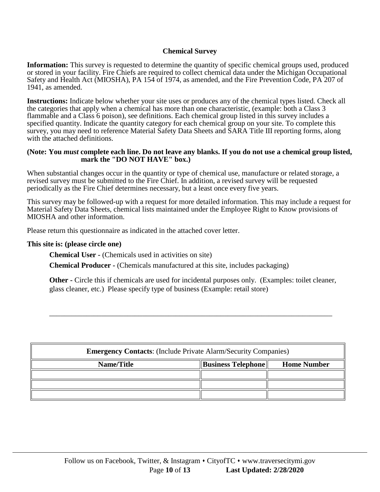## **Chemical Survey**

**Information:** This survey is requested to determine the quantity of specific chemical groups used, produced or stored in your facility. Fire Chiefs are required to collect chemical data under the Michigan Occupational Safety and Health Act (MIOSHA), PA 154 of 1974, as amended, and the Fire Prevention Code, PA 207 of 1941, as amended.

**Instructions:** Indicate below whether your site uses or produces any of the chemical types listed. Check all the categories that apply when a chemical has more than one characteristic, (example: both a Class 3 flammable and a Class 6 poison), see definitions. Each chemical group listed in this survey includes a specified quantity. Indicate the quantity category for each chemical group on your site. To complete this survey, you may need to reference Material Safety Data Sheets and SARA Title III reporting forms, along with the attached definitions.

#### **(Note: You** *must* **complete each line. Do not leave any blanks. If you do not use a chemical group listed, mark the "DO NOT HAVE" box.)**

When substantial changes occur in the quantity or type of chemical use, manufacture or related storage, a revised survey must be submitted to the Fire Chief. In addition, a revised survey will be requested periodically as the Fire Chief determines necessary, but a least once every five years.

This survey may be followed-up with a request for more detailed information. This may include a request for Material Safety Data Sheets, chemical lists maintained under the Employee Right to Know provisions of MIOSHA and other information.

Please return this questionnaire as indicated in the attached cover letter.

#### **This site is: (please circle one)**

**Chemical User -** (Chemicals used in activities on site)

**Chemical Producer -** (Chemicals manufactured at this site, includes packaging)

**Other -** Circle this if chemicals are used for incidental purposes only. (Examples: toilet cleaner, glass cleaner, etc.) Please specify type of business (Example: retail store)

\_\_\_\_\_\_\_\_\_\_\_\_\_\_\_\_\_\_\_\_\_\_\_\_\_\_\_\_\_\_\_\_\_\_\_\_\_\_\_\_\_\_\_\_\_\_\_\_\_\_\_\_\_\_\_\_\_\_\_\_\_\_\_\_\_\_\_\_\_\_\_\_\_\_\_\_

| <b>Emergency Contacts:</b> (Include Private Alarm/Security Companies) |                           |                    |  |
|-----------------------------------------------------------------------|---------------------------|--------------------|--|
| Name/Title                                                            | <b>Business Telephone</b> | <b>Home Number</b> |  |
|                                                                       |                           |                    |  |
|                                                                       |                           |                    |  |
|                                                                       |                           |                    |  |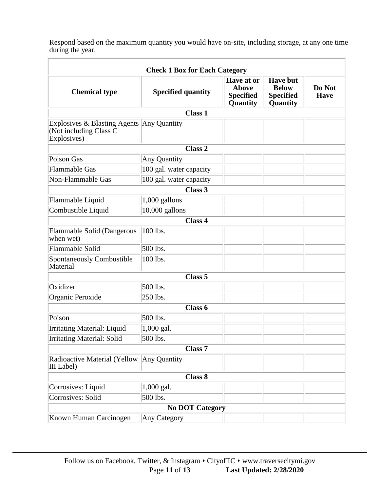Respond based on the maximum quantity you would have on-site, including storage, at any one time during the year.

| <b>Check 1 Box for Each Category</b>                                               |                           |                                                            |                                                                 |                       |  |
|------------------------------------------------------------------------------------|---------------------------|------------------------------------------------------------|-----------------------------------------------------------------|-----------------------|--|
| <b>Chemical type</b>                                                               | <b>Specified quantity</b> | Have at or<br><b>Above</b><br><b>Specified</b><br>Quantity | <b>Have but</b><br><b>Below</b><br><b>Specified</b><br>Quantity | Do Not<br><b>Have</b> |  |
|                                                                                    | <b>Class 1</b>            |                                                            |                                                                 |                       |  |
| Explosives & Blasting Agents Any Quantity<br>(Not including Class C<br>Explosives) |                           |                                                            |                                                                 |                       |  |
|                                                                                    | <b>Class 2</b>            |                                                            |                                                                 |                       |  |
| Poison Gas                                                                         | Any Quantity              |                                                            |                                                                 |                       |  |
| <b>Flammable Gas</b>                                                               | 100 gal. water capacity   |                                                            |                                                                 |                       |  |
| Non-Flammable Gas                                                                  | 100 gal. water capacity   |                                                            |                                                                 |                       |  |
|                                                                                    | Class 3                   |                                                            |                                                                 |                       |  |
| Flammable Liquid                                                                   | 1,000 gallons             |                                                            |                                                                 |                       |  |
| Combustible Liquid                                                                 | $10,000$ gallons          |                                                            |                                                                 |                       |  |
|                                                                                    | <b>Class 4</b>            |                                                            |                                                                 |                       |  |
| Flammable Solid (Dangerous<br>when wet)                                            | 100 lbs.                  |                                                            |                                                                 |                       |  |
| <b>Flammable Solid</b>                                                             | 500 lbs.                  |                                                            |                                                                 |                       |  |
| <b>Spontaneously Combustible</b><br>Material                                       | 100 lbs.                  |                                                            |                                                                 |                       |  |
|                                                                                    | Class <sub>5</sub>        |                                                            |                                                                 |                       |  |
| Oxidizer                                                                           | 500 lbs.                  |                                                            |                                                                 |                       |  |
| Organic Peroxide                                                                   | 250 lbs.                  |                                                            |                                                                 |                       |  |
|                                                                                    | Class 6                   |                                                            |                                                                 |                       |  |
| Poison                                                                             | 500 lbs.                  |                                                            |                                                                 |                       |  |
| Irritating Material: Liquid                                                        | 1,000 gal.                |                                                            |                                                                 |                       |  |
| <b>Irritating Material: Solid</b>                                                  | 500 lbs.                  |                                                            |                                                                 |                       |  |
|                                                                                    | <b>Class 7</b>            |                                                            |                                                                 |                       |  |
| Radioactive Material (Yellow Any Quantity<br>III Label)                            |                           |                                                            |                                                                 |                       |  |
|                                                                                    | Class 8                   |                                                            |                                                                 |                       |  |
| Corrosives: Liquid                                                                 | 1,000 gal.                |                                                            |                                                                 |                       |  |
| <b>Corrosives: Solid</b>                                                           | 500 lbs.                  |                                                            |                                                                 |                       |  |
| <b>No DOT Category</b>                                                             |                           |                                                            |                                                                 |                       |  |
| Known Human Carcinogen                                                             | Any Category              |                                                            |                                                                 |                       |  |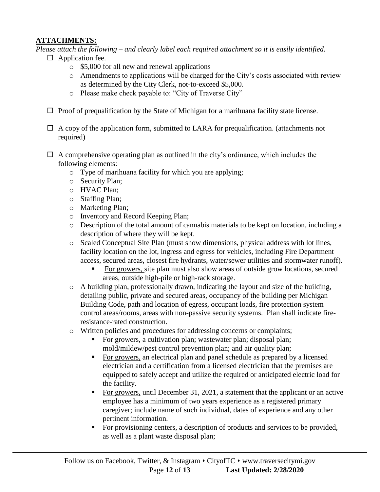## **ATTACHMENTS:**

*Please attach the following – and clearly label each required attachment so it is easily identified.*  $\Box$  Application fee.

- o \$5,000 for all new and renewal applications
- o Amendments to applications will be charged for the City's costs associated with review as determined by the City Clerk, not-to-exceed \$5,000.
- o Please make check payable to: "City of Traverse City"
- $\Box$  Proof of prequalification by the State of Michigan for a marihuana facility state license.
- $\Box$  A copy of the application form, submitted to LARA for prequalification. (attachments not required)
- $\Box$  A comprehensive operating plan as outlined in the city's ordinance, which includes the following elements:
	- o Type of marihuana facility for which you are applying;
	- o Security Plan;
	- o HVAC Plan;
	- o Staffing Plan;
	- o Marketing Plan;
	- o Inventory and Record Keeping Plan;
	- o Description of the total amount of cannabis materials to be kept on location, including a description of where they will be kept.
	- o Scaled Conceptual Site Plan (must show dimensions, physical address with lot lines, facility location on the lot, ingress and egress for vehicles, including Fire Department access, secured areas, closest fire hydrants, water/sewer utilities and stormwater runoff).
		- For growers, site plan must also show areas of outside grow locations, secured areas, outside high-pile or high-rack storage.
	- o A building plan, professionally drawn, indicating the layout and size of the building, detailing public, private and secured areas, occupancy of the building per Michigan Building Code, path and location of egress, occupant loads, fire protection system control areas/rooms, areas with non-passive security systems. Plan shall indicate fireresistance-rated construction.
	- o Written policies and procedures for addressing concerns or complaints;
		- For growers, a cultivation plan; wastewater plan; disposal plan; mold/mildew/pest control prevention plan; and air quality plan;
		- For growers, an electrical plan and panel schedule as prepared by a licensed electrician and a certification from a licensed electrician that the premises are equipped to safely accept and utilize the required or anticipated electric load for the facility.
		- For growers, until December 31, 2021, a statement that the applicant or an active employee has a minimum of two years experience as a registered primary caregiver; include name of such individual, dates of experience and any other pertinent information.
		- For provisioning centers, a description of products and services to be provided, as well as a plant waste disposal plan;